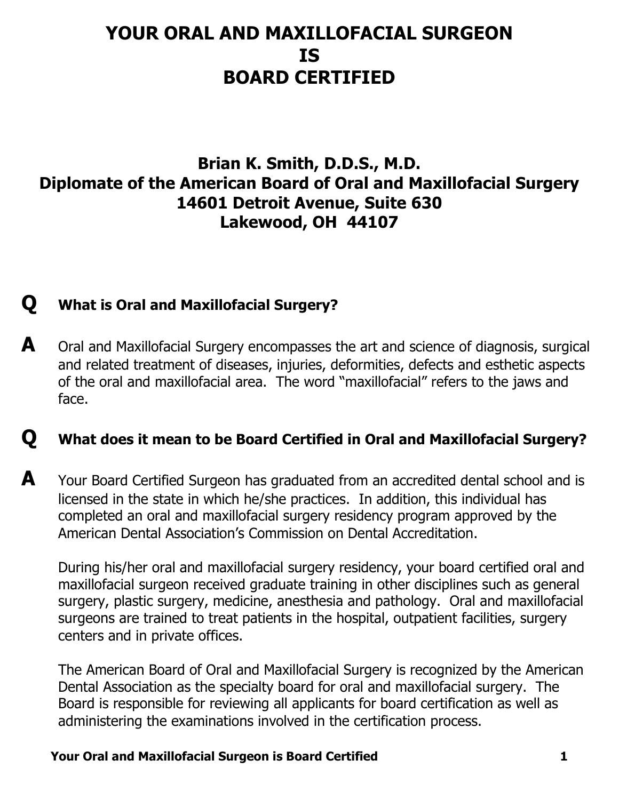# **YOUR ORAL AND MAXILLOFACIAL SURGEON IS BOARD CERTIFIED**

## **Brian K. Smith, D.D.S., M.D. Diplomate of the American Board of Oral and Maxillofacial Surgery 14601 Detroit Avenue, Suite 630 Lakewood, OH 44107**

## **Q What is Oral and Maxillofacial Surgery?**

**A** Oral and Maxillofacial Surgery encompasses the art and science of diagnosis, surgical and related treatment of diseases, injuries, deformities, defects and esthetic aspects of the oral and maxillofacial area. The word "maxillofacial" refers to the jaws and face.

## **Q What does it mean to be Board Certified in Oral and Maxillofacial Surgery?**

**A** Your Board Certified Surgeon has graduated from an accredited dental school and is licensed in the state in which he/she practices. In addition, this individual has completed an oral and maxillofacial surgery residency program approved by the American Dental Association's Commission on Dental Accreditation.

 During his/her oral and maxillofacial surgery residency, your board certified oral and maxillofacial surgeon received graduate training in other disciplines such as general surgery, plastic surgery, medicine, anesthesia and pathology. Oral and maxillofacial surgeons are trained to treat patients in the hospital, outpatient facilities, surgery centers and in private offices.

 The American Board of Oral and Maxillofacial Surgery is recognized by the American Dental Association as the specialty board for oral and maxillofacial surgery. The Board is responsible for reviewing all applicants for board certification as well as administering the examinations involved in the certification process.

#### **Your Oral and Maxillofacial Surgeon is Board Certified 1**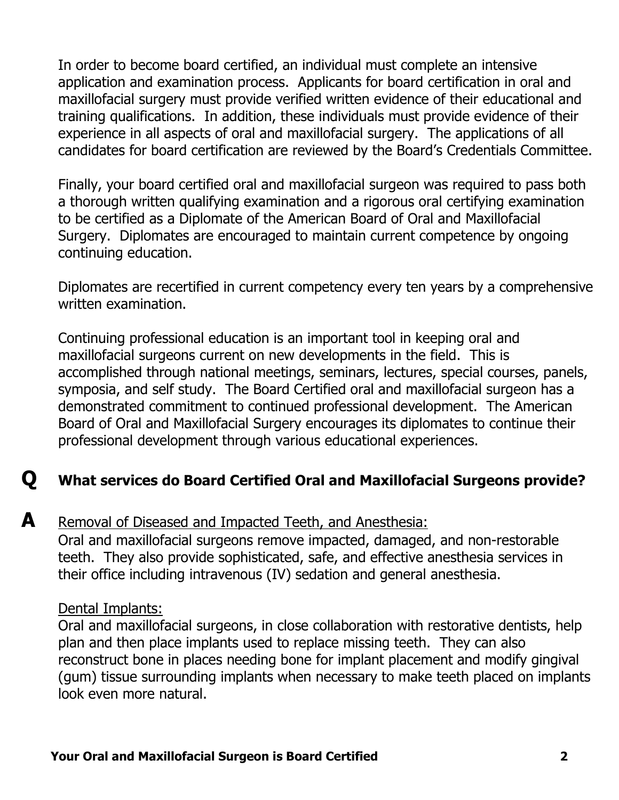In order to become board certified, an individual must complete an intensive application and examination process. Applicants for board certification in oral and maxillofacial surgery must provide verified written evidence of their educational and training qualifications. In addition, these individuals must provide evidence of their experience in all aspects of oral and maxillofacial surgery. The applications of all candidates for board certification are reviewed by the Board's Credentials Committee.

 Finally, your board certified oral and maxillofacial surgeon was required to pass both a thorough written qualifying examination and a rigorous oral certifying examination to be certified as a Diplomate of the American Board of Oral and Maxillofacial Surgery. Diplomates are encouraged to maintain current competence by ongoing continuing education.

Diplomates are recertified in current competency every ten years by a comprehensive written examination.

Continuing professional education is an important tool in keeping oral and maxillofacial surgeons current on new developments in the field. This is accomplished through national meetings, seminars, lectures, special courses, panels, symposia, and self study. The Board Certified oral and maxillofacial surgeon has a demonstrated commitment to continued professional development. The American Board of Oral and Maxillofacial Surgery encourages its diplomates to continue their professional development through various educational experiences.

## **Q What services do Board Certified Oral and Maxillofacial Surgeons provide?**

### **A** Removal of Diseased and Impacted Teeth, and Anesthesia:

 Oral and maxillofacial surgeons remove impacted, damaged, and non-restorable teeth. They also provide sophisticated, safe, and effective anesthesia services in their office including intravenous (IV) sedation and general anesthesia.

#### Dental Implants:

 Oral and maxillofacial surgeons, in close collaboration with restorative dentists, help plan and then place implants used to replace missing teeth. They can also reconstruct bone in places needing bone for implant placement and modify gingival (gum) tissue surrounding implants when necessary to make teeth placed on implants look even more natural.